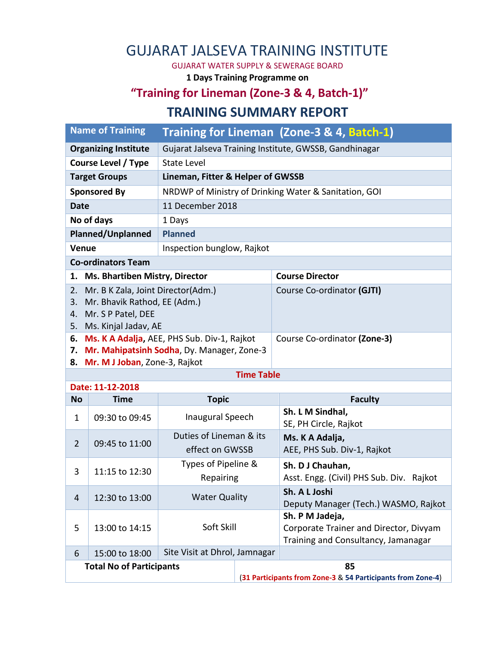## GUJARAT JALSEVA TRAINING INSTITUTE

GUJARAT WATER SUPPLY & SEWERAGE BOARD

**1 Days Training Programme on**

## **"Training for Lineman (Zone-3 & 4, Batch-1)"**

## **TRAINING SUMMARY REPORT**

| <b>Name of Training</b>                                                        |                |                                                        |                                                             | Training for Lineman (Zone-3 & 4, Batch-1)              |
|--------------------------------------------------------------------------------|----------------|--------------------------------------------------------|-------------------------------------------------------------|---------------------------------------------------------|
| <b>Organizing Institute</b>                                                    |                | Gujarat Jalseva Training Institute, GWSSB, Gandhinagar |                                                             |                                                         |
| <b>Course Level / Type</b>                                                     |                | <b>State Level</b>                                     |                                                             |                                                         |
| <b>Target Groups</b>                                                           |                | Lineman, Fitter & Helper of GWSSB                      |                                                             |                                                         |
| <b>Sponsored By</b>                                                            |                | NRDWP of Ministry of Drinking Water & Sanitation, GOI  |                                                             |                                                         |
| <b>Date</b>                                                                    |                | 11 December 2018                                       |                                                             |                                                         |
| No of days                                                                     |                | 1 Days                                                 |                                                             |                                                         |
| <b>Planned/Unplanned</b>                                                       |                | <b>Planned</b>                                         |                                                             |                                                         |
| Venue                                                                          |                | Inspection bunglow, Rajkot                             |                                                             |                                                         |
| <b>Co-ordinators Team</b>                                                      |                |                                                        |                                                             |                                                         |
| <b>Ms. Bhartiben Mistry, Director</b><br>1.                                    |                |                                                        |                                                             | <b>Course Director</b>                                  |
| Mr. B K Zala, Joint Director(Adm.)<br>2.<br>Mr. Bhavik Rathod, EE (Adm.)<br>3. |                |                                                        |                                                             | Course Co-ordinator (GJTI)                              |
| Mr. S P Patel, DEE<br>4.                                                       |                |                                                        |                                                             |                                                         |
| 5. Ms. Kinjal Jadav, AE                                                        |                |                                                        |                                                             |                                                         |
| 6.                                                                             |                | Ms. K A Adalja, AEE, PHS Sub. Div-1, Rajkot            |                                                             | Course Co-ordinator (Zone-3)                            |
| 7.                                                                             |                | Mr. Mahipatsinh Sodha, Dy. Manager, Zone-3             |                                                             |                                                         |
| 8. Mr. M J Joban, Zone-3, Rajkot<br><b>Time Table</b>                          |                |                                                        |                                                             |                                                         |
| Date: 11-12-2018                                                               |                |                                                        |                                                             |                                                         |
| <b>No</b>                                                                      | <b>Time</b>    | <b>Topic</b>                                           |                                                             | <b>Faculty</b>                                          |
| $\mathbf{1}$                                                                   | 09:30 to 09:45 | Inaugural Speech                                       |                                                             | Sh. L M Sindhal,<br>SE, PH Circle, Rajkot               |
| $\overline{2}$                                                                 | 09:45 to 11:00 | Duties of Lineman & its                                |                                                             | Ms. K A Adalja,                                         |
|                                                                                |                | effect on GWSSB                                        |                                                             | AEE, PHS Sub. Div-1, Rajkot                             |
| 3                                                                              | 11:15 to 12:30 | Types of Pipeline &                                    |                                                             | Sh. D J Chauhan,                                        |
|                                                                                |                | Repairing                                              |                                                             | Asst. Engg. (Civil) PHS Sub. Div. Rajkot                |
| 4                                                                              | 12:30 to 13:00 | <b>Water Quality</b>                                   |                                                             | Sh. A L Joshi                                           |
|                                                                                |                |                                                        |                                                             | Deputy Manager (Tech.) WASMO, Rajkot<br>Sh. P M Jadeja, |
| 5                                                                              | 13:00 to 14:15 | Soft Skill                                             |                                                             | Corporate Trainer and Director, Divyam                  |
|                                                                                |                |                                                        |                                                             | Training and Consultancy, Jamanagar                     |
| 6                                                                              | 15:00 to 18:00 | Site Visit at Dhrol, Jamnagar                          |                                                             |                                                         |
| <b>Total No of Participants</b>                                                |                |                                                        | 85                                                          |                                                         |
|                                                                                |                |                                                        | (31 Participants from Zone-3 & 54 Participants from Zone-4) |                                                         |